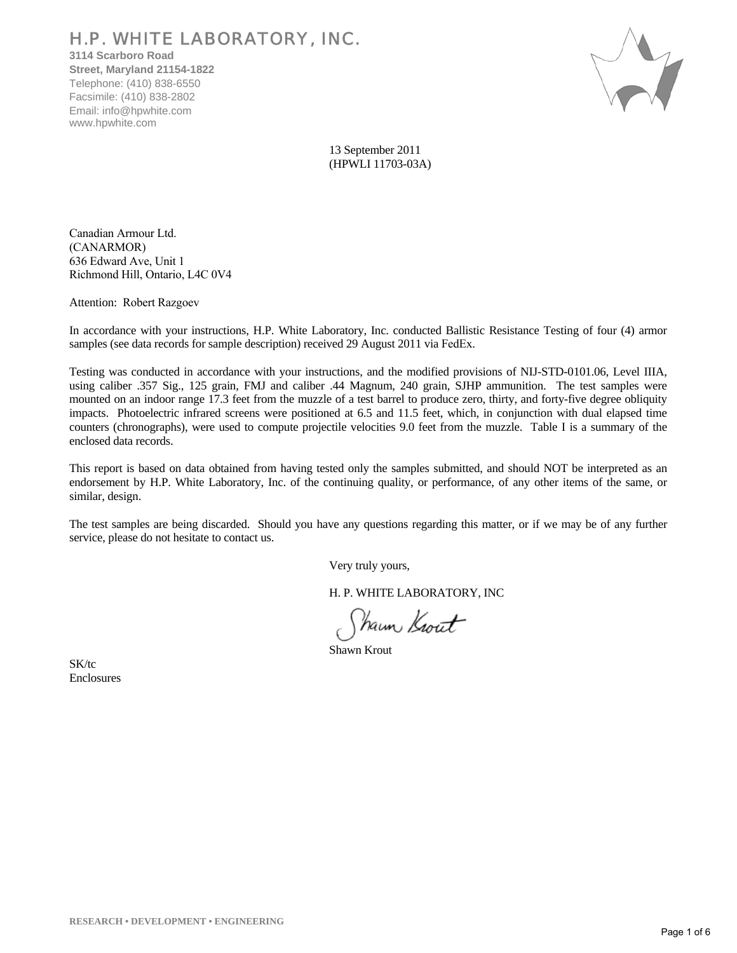# H.P. WHITE LABORATORY, INC.

**3114 Scarboro Road Street, Maryland 21154-1822** Telephone: (410) 838-6550 Facsimile: (410) 838-2802 Email: info@hpwhite.com www.hpwhite.com



13 September 2011 (HPWLI 11703-03A)

Canadian Armour Ltd. (CANARMOR) 636 Edward Ave, Unit 1 Richmond Hill, Ontario, L4C 0V4

Attention: Robert Razgoev

In accordance with your instructions, H.P. White Laboratory, Inc. conducted Ballistic Resistance Testing of four (4) armor samples (see data records for sample description) received 29 August 2011 via FedEx.

Testing was conducted in accordance with your instructions, and the modified provisions of NIJ-STD-0101.06, Level IIIA, using caliber .357 Sig., 125 grain, FMJ and caliber .44 Magnum, 240 grain, SJHP ammunition. The test samples were mounted on an indoor range 17.3 feet from the muzzle of a test barrel to produce zero, thirty, and forty-five degree obliquity impacts. Photoelectric infrared screens were positioned at 6.5 and 11.5 feet, which, in conjunction with dual elapsed time counters (chronographs), were used to compute projectile velocities 9.0 feet from the muzzle. Table I is a summary of the enclosed data records.

This report is based on data obtained from having tested only the samples submitted, and should NOT be interpreted as an endorsement by H.P. White Laboratory, Inc. of the continuing quality, or performance, of any other items of the same, or similar, design.

The test samples are being discarded. Should you have any questions regarding this matter, or if we may be of any further service, please do not hesitate to contact us.

Very truly yours,

H. P. WHITE LABORATORY, INC

Shaun Krout

Shawn Krout

SK/tc Enclosures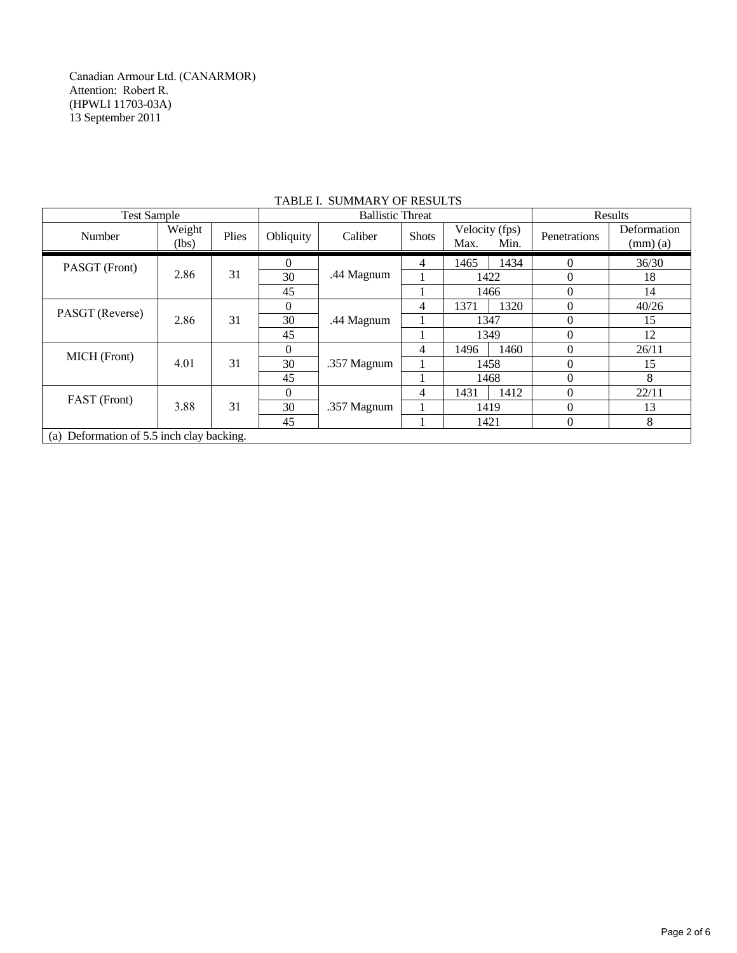Canadian Armour Ltd. (CANARMOR) Attention: Robert R. (HPWLI 11703-03A) 13 September 2011

|                                           | <b>Test Sample</b> |       |           |             | <b>Ballistic Threat</b> |                                |      |              |                                         |
|-------------------------------------------|--------------------|-------|-----------|-------------|-------------------------|--------------------------------|------|--------------|-----------------------------------------|
| Number                                    | Weight<br>(lbs)    | Plies | Obliquity | Caliber     | <b>Shots</b>            | Velocity (fps)<br>Max.<br>Min. |      | Penetrations | Deformation<br>$\text{(mm)}\text{ (a)}$ |
| PASGT (Front)                             |                    |       | $\Omega$  |             | 4                       | 1465                           | 1434 | $\Omega$     | 36/30                                   |
|                                           | 2.86               | 31    | 30        | .44 Magnum  |                         | 1422                           |      | $\Omega$     | 18                                      |
|                                           |                    |       | 45        |             |                         | 1466                           |      |              | 14                                      |
|                                           |                    |       | $\Omega$  |             | 4                       | 1371                           | 1320 | $\Omega$     | 40/26                                   |
| PASGT (Reverse)                           | 2.86               | 31    | 30        | .44 Magnum  |                         | 1347                           |      | $\Omega$     | 15                                      |
|                                           |                    |       | 45        |             |                         | 1349                           |      | 0            | 12                                      |
| MICH (Front)                              |                    | 31    | $\Omega$  |             | 4                       | 1496                           | 1460 | $\Omega$     | 26/11                                   |
|                                           | 4.01               |       | 30        | .357 Magnum |                         | 1458                           |      | 0            | 15                                      |
|                                           |                    |       | 45        |             |                         | 1468                           |      | $\Omega$     | 8                                       |
|                                           |                    |       | $\Omega$  |             | 4                       | 1431                           | 1412 |              | 22/11                                   |
| FAST (Front)                              | 3.88               | 31    | 30        | .357 Magnum |                         | 1419                           |      | $\Omega$     | 13                                      |
|                                           |                    |       | 45        |             |                         | 1421                           |      | $\Omega$     | 8                                       |
| (a) Deformation of 5.5 inch clay backing. |                    |       |           |             |                         |                                |      |              |                                         |

## TABLE I. SUMMARY OF RESULTS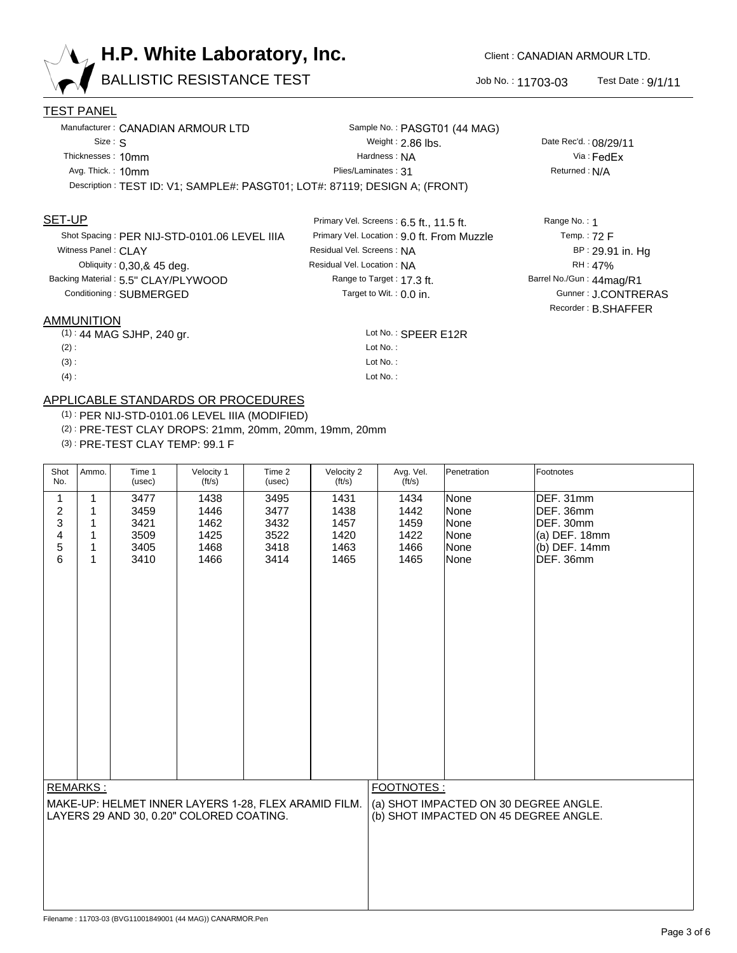

BALLISTIC RESISTANCE TEST 300 No.: 11703-03

Test Date : 9/1/11

### TEST PANEL

|                   | Manufacturer: CANADIAN ARMOUR LTD                                          | Sample No.: PASGT01 (44 MAG) |
|-------------------|----------------------------------------------------------------------------|------------------------------|
| Size: S           |                                                                            | Weight: $2.86$ lbs.          |
| Thicknesses: 10mm |                                                                            | Hardness: NA                 |
| Avg. Thick.: 10mm |                                                                            | Plies/Laminates: 31          |
|                   | Description: TEST ID: V1; SAMPLE#: PASGT01; LOT#: 87119; DESIGN A; (FRONT) |                              |

### SET-UP

Shot Spacing : PER NIJ-STD-0101.06 LEVEL IIIA Obliquity : 0,30,& 45 deg. Witness Panel : **CLAY** Backing Material : 5.5" CLAY/PLYWOOD Conditioning : SUBMERGED

#### AMMUNITION

(1) : 44 MAG SJHP, 240 gr. SPEER E12R

 $(2)$ :

(3) :

 $(4):$ 

# APPLICABLE STANDARDS OR PROCEDURES

(1) : PER NIJ-STD-0101.06 LEVEL IIIA (MODIFIED)

(2) : PRE-TEST CLAY DROPS: 21mm, 20mm, 20mm, 19mm, 20mm

(3) : PRE-TEST CLAY TEMP: 99.1 F

| Shot<br>No.                                                                                                  | Ammo.                                 | Time 1<br>(usec)                             | Velocity 1<br>$({\rm ft/s})$                 | Time 2<br>(usec)                             | Velocity 2<br>$({\rm ft/s})$                 | Avg. Vel.<br>$({\rm ft/s})$                  | Penetration                                                                    | Footnotes                                                                              |
|--------------------------------------------------------------------------------------------------------------|---------------------------------------|----------------------------------------------|----------------------------------------------|----------------------------------------------|----------------------------------------------|----------------------------------------------|--------------------------------------------------------------------------------|----------------------------------------------------------------------------------------|
| 1<br>$\boldsymbol{2}$<br>3<br>4<br>5<br>6                                                                    | 1<br>$\mathbf{1}$<br>1<br>1<br>1<br>1 | 3477<br>3459<br>3421<br>3509<br>3405<br>3410 | 1438<br>1446<br>1462<br>1425<br>1468<br>1466 | 3495<br>3477<br>3432<br>3522<br>3418<br>3414 | 1431<br>1438<br>1457<br>1420<br>1463<br>1465 | 1434<br>1442<br>1459<br>1422<br>1466<br>1465 | None<br>None<br>None<br>None<br>None<br>None                                   | DEF. 31mm<br>DEF. 36mm<br>DEF. 30mm<br>$(a)$ DEF. 18mm<br>$(b)$ DEF. 14mm<br>DEF. 36mm |
| REMARKS:<br>MAKE-UP: HELMET INNER LAYERS 1-28, FLEX ARAMID FILM.<br>LAYERS 29 AND 30, 0.20" COLORED COATING. |                                       |                                              |                                              |                                              |                                              | FOOTNOTES:                                   | (a) SHOT IMPACTED ON 30 DEGREE ANGLE.<br>(b) SHOT IMPACTED ON 45 DEGREE ANGLE. |                                                                                        |
|                                                                                                              |                                       |                                              |                                              |                                              |                                              |                                              |                                                                                |                                                                                        |

Lot No.: SPEER E12R

Lot No. : Lot No. : Lot No. :

Range to Target : 17.3 ft.

Residual Vel. Screens : NA

Residual Vel. Location : NA

Target to Wit. :  $0.0$  in.

Primary Vel. Screens : 6.5 ft., 11.5 ft.

Primary Vel. Location : 9.0 ft. From Muzzle

Via : FedEx Returned : N/A

Date Rec'd. : 08/29/11

Barrel No./Gun : 44mag/R1 Range No. : 1 Gunner : J.CONTRERAS Temp. : 72 F BP : 29.91 in. Hg RH : 47% Recorder : B.SHAFFER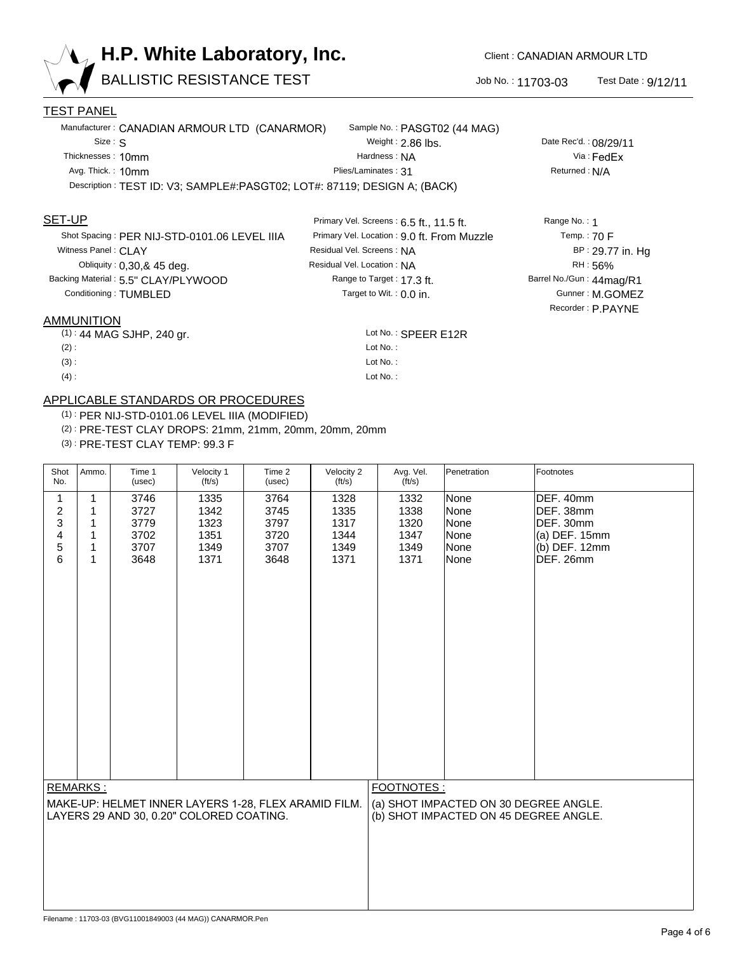

BALLISTIC RESISTANCE TEST JOb No.: 11703-03

Test Date : 9/12/11

Barrel No./Gun : 44mag/R1

Temp. : 70 F

Gunner : M.GOMEZ

Recorder : P.PAYNE

BP : 29.77 in. Hg RH : 56%

Range No. : 1

### TEST PANEL

| Manufacturer: CANADIAN ARMOUR LTD (CANARMOR)                             | Sample No.: PASGT02 (44 MAG) |                       |  |  |  |  |
|--------------------------------------------------------------------------|------------------------------|-----------------------|--|--|--|--|
| Size: S                                                                  | Weight: $2.86$ lbs.          | Date Rec'd.: 08/29/11 |  |  |  |  |
| Thicknesses: 10mm                                                        | Hardness: NA                 | Via : FedFx           |  |  |  |  |
| Avg. Thick.: 10mm                                                        | Plies/Laminates: 31          | Returned: N/A         |  |  |  |  |
| Description: TEST ID: V3; SAMPLE#:PASGT02; LOT#: 87119; DESIGN A; (BACK) |                              |                       |  |  |  |  |

### SET-UP

Shot Spacing : PER NIJ-STD-0101.06 LEVEL IIIA Obliquity : 0,30,& 45 deg. Witness Panel : **CLAY** Backing Material : 5.5" CLAY/PLYWOOD Conditioning : TUMBLED

#### AMMUNITION

| $(1)$ : 44 MAG SJHP, 240 gr. | Lot No.: SPEER E12R |
|------------------------------|---------------------|
|------------------------------|---------------------|

 $(2)$ : (3) :

 $(4):$ 

# APPLICABLE STANDARDS OR PROCEDURES

(1) : PER NIJ-STD-0101.06 LEVEL IIIA (MODIFIED)

(2) : PRE-TEST CLAY DROPS: 21mm, 21mm, 20mm, 20mm, 20mm

(3) : PRE-TEST CLAY TEMP: 99.3 F

| Shot<br>No.                                          | Ammo.        | Time 1<br>(usec) | Velocity 1<br>$({\rm ft/s})$ | Time 2<br>(usec) | Velocity 2<br>(t <sup>t</sup> /s) | Avg. Vel.<br>$({\rm ft/s})$           | Penetration | Footnotes       |
|------------------------------------------------------|--------------|------------------|------------------------------|------------------|-----------------------------------|---------------------------------------|-------------|-----------------|
| 1                                                    | 1            | 3746             | 1335                         | 3764             | 1328                              | 1332                                  | None        | DEF. 40mm       |
| $\boldsymbol{2}$                                     | 1            | 3727             | 1342                         | 3745             | 1335                              | 1338                                  | None        | DEF. 38mm       |
| 3                                                    | 1            | 3779             | 1323                         | 3797             | 1317                              | 1320                                  | None        | DEF. 30mm       |
| 4                                                    | $\mathbf{1}$ | 3702             | 1351                         | 3720             | 1344                              | 1347                                  | None        | (a) DEF. 15mm   |
| 5                                                    | 1            | 3707             | 1349                         | 3707             | 1349                              | 1349                                  | None        | $(b)$ DEF. 12mm |
| 6                                                    | $\mathbf{1}$ | 3648             | 1371                         | 3648             | 1371                              | 1371                                  | None        | DEF. 26mm       |
| REMARKS:                                             |              |                  |                              |                  |                                   | FOOTNOTES:                            |             |                 |
| MAKE-UP: HELMET INNER LAYERS 1-28, FLEX ARAMID FILM. |              |                  |                              |                  |                                   | (a) SHOT IMPACTED ON 30 DEGREE ANGLE. |             |                 |
| LAYERS 29 AND 30, 0.20" COLORED COATING.             |              |                  |                              |                  |                                   | (b) SHOT IMPACTED ON 45 DEGREE ANGLE. |             |                 |

Lot No. : Lot No. : Lot No. :

Range to Target : 17.3 ft.

Residual Vel. Screens : NA

Residual Vel. Location : NA

Target to Wit. :  $0.0$  in.

Primary Vel. Screens : 6.5 ft., 11.5 ft.

Primary Vel. Location : 9.0 ft. From Muzzle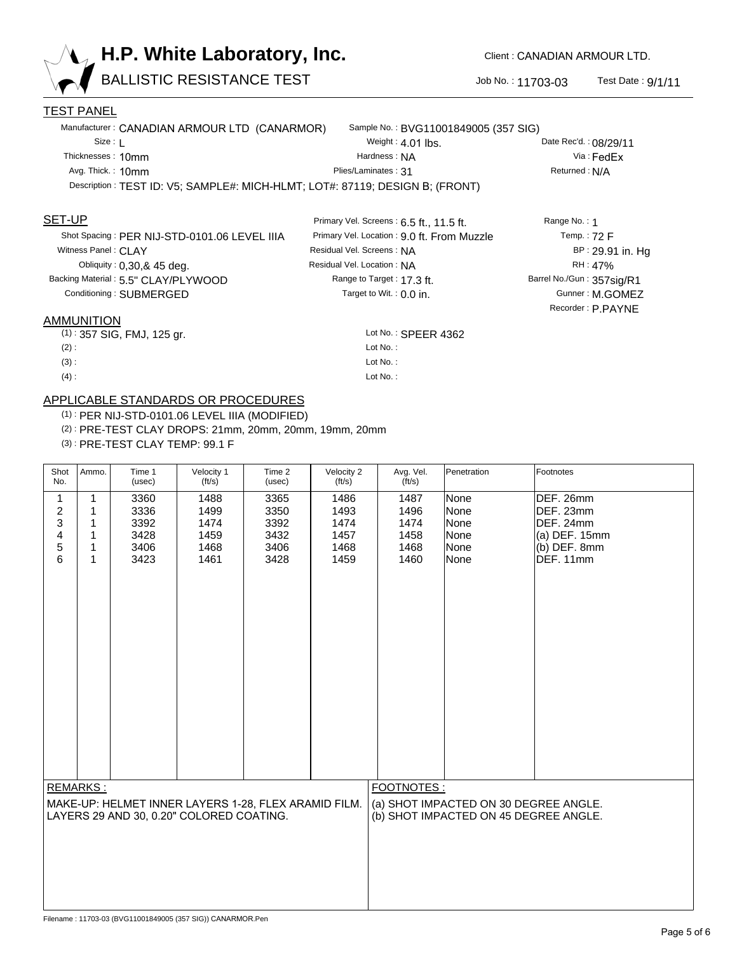

BALLISTIC RESISTANCE TEST 300 No.: 11703-03

Test Date : 9/1/11

Barrel No./Gun : 357sig/R1

Temp. : 72 F

Gunner : M.GOMEZ

Recorder : P.PAYNE

BP : 29.91 in. Hg RH : 47%

Range No. : 1

### TEST PANEL

|                                                                              | Manufacturer: CANADIAN ARMOUR LTD (CANARMOR) | Sample No.: BVG11001849005 (357 SIG) |                       |  |  |  |
|------------------------------------------------------------------------------|----------------------------------------------|--------------------------------------|-----------------------|--|--|--|
| Size :                                                                       |                                              | Weight: $4.01$ lbs.                  | Date Rec'd.: 08/29/11 |  |  |  |
| Thicknesses: 10mm                                                            |                                              | Hardness: NA                         | $Via: \text{FedFx}$   |  |  |  |
| Avg. Thick.: 10mm                                                            |                                              | Plies/Laminates: 31                  | Returned: N/A         |  |  |  |
| Description: TEST ID: V5; SAMPLE#: MICH-HLMT; LOT#: 87119; DESIGN B; (FRONT) |                                              |                                      |                       |  |  |  |

Lot No.: SPEER 4362

Lot No. : Lot No. : Lot No. :

Range to Target : 17.3 ft.

Residual Vel. Screens : NA

Residual Vel. Location : NA

Target to Wit. :  $0.0$  in.

Primary Vel. Screens : 6.5 ft., 11.5 ft.

Primary Vel. Location : 9.0 ft. From Muzzle

### SET-UP

Shot Spacing : PER NIJ-STD-0101.06 LEVEL IIIA Obliquity : 0,30,& 45 deg. Witness Panel : **CLAY** Backing Material : 5.5" CLAY/PLYWOOD Conditioning : SUBMERGED

#### AMMUNITION

(1): 357 SIG, FMJ, 125 gr. Same Controller and the Control of No.: SPEER 4362

 $(2)$ :

(3) :

 $(4):$ 

# APPLICABLE STANDARDS OR PROCEDURES

(1) : PER NIJ-STD-0101.06 LEVEL IIIA (MODIFIED)

(2) : PRE-TEST CLAY DROPS: 21mm, 20mm, 20mm, 19mm, 20mm

(3) : PRE-TEST CLAY TEMP: 99.1 F

| Shot<br>No.                                          | Ammo.        | Time 1<br>(usec) | Velocity 1<br>$({\rm ft/s})$ | Time 2<br>(usec) | Velocity 2<br>$({\rm ft/s})$ | Avg. Vel.<br>$({\rm ft/s})$           | Penetration | Footnotes      |
|------------------------------------------------------|--------------|------------------|------------------------------|------------------|------------------------------|---------------------------------------|-------------|----------------|
| 1                                                    | 1            | 3360             | 1488                         | 3365             | 1486                         | 1487                                  | None        | DEF. 26mm      |
| $\boldsymbol{2}$                                     | $\mathbf{1}$ | 3336             | 1499                         | 3350             | 1493                         | 1496                                  | None        | DEF. 23mm      |
| 3                                                    | 1            | 3392             | 1474                         | 3392             | 1474                         | 1474                                  | None        | DEF. 24mm      |
| 4                                                    | 1            | 3428             | 1459                         | 3432             | 1457                         | 1458                                  | None        | (a) DEF. 15mm  |
| 5                                                    | 1            | 3406             | 1468                         | 3406             | 1468                         | 1468                                  | None        | $(b)$ DEF. 8mm |
| 6                                                    | 1            | 3423             | 1461                         | 3428             | 1459                         | 1460                                  | None        | DEF. 11mm      |
| REMARKS:                                             |              |                  |                              |                  |                              | FOOTNOTES:                            |             |                |
| MAKE-UP: HELMET INNER LAYERS 1-28, FLEX ARAMID FILM. |              |                  |                              |                  |                              | (a) SHOT IMPACTED ON 30 DEGREE ANGLE. |             |                |
| LAYERS 29 AND 30, 0.20" COLORED COATING.             |              |                  |                              |                  |                              | (b) SHOT IMPACTED ON 45 DEGREE ANGLE. |             |                |
|                                                      |              |                  |                              |                  |                              |                                       |             |                |